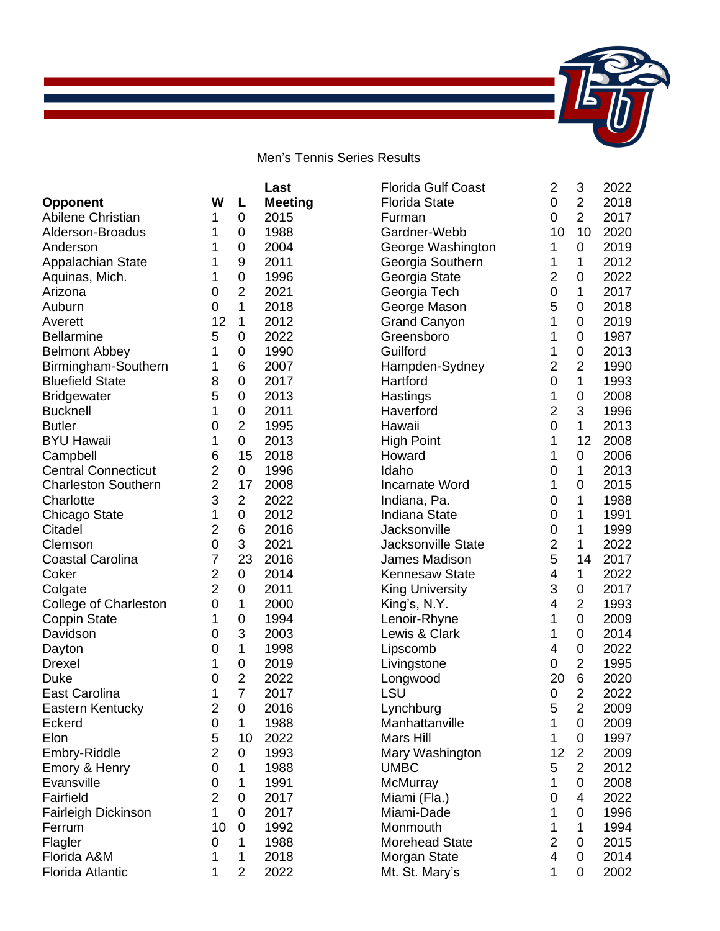## Men's Tennis Series Results

|                            |                         |                         | Last           |
|----------------------------|-------------------------|-------------------------|----------------|
| Opponent                   | W                       | Г                       | <b>Meeting</b> |
| <b>Abilene Christian</b>   | 1                       | 0                       | 2015           |
| Alderson-Broadus           | 1                       | 0                       | 1988           |
| Anderson                   | 1                       | 0                       | 2004           |
| Appalachian State          | 1                       | 9                       | 2011           |
| Aquinas, Mich.             | 1                       | 0                       | 1996           |
| Arizona                    | 0                       | 2                       | 2021           |
| Auburn                     | 0                       | 1                       | 2018           |
| Averett                    | 12                      | 1                       | 2012           |
| <b>Bellarmine</b>          | 5                       | 0                       | 2022           |
| <b>Belmont Abbey</b>       | 1                       | 0                       | 1990           |
| Birmingham-Southern        | 1                       | 6                       | 2007           |
| <b>Bluefield State</b>     | 8                       | 0                       | 2017           |
| <b>Bridgewater</b>         | 5                       | 0                       | 2013           |
| <b>Bucknell</b>            | 1                       | 0                       | 2011           |
| <b>Butler</b>              | 0                       | 2                       | 1995           |
| <b>BYU Hawaii</b>          | 1                       | 0                       | 2013           |
| Campbell                   | 6                       | 15                      | 2018           |
| <b>Central Connecticut</b> | $\overline{\mathbf{c}}$ | 0                       | 1996           |
| <b>Charleston Southern</b> | $\overline{c}$          | 17                      | 2008           |
| Charlotte                  | 3                       | 2                       | 2022           |
| Chicago State              | $\overline{1}$          | 0                       | 2012           |
| Citadel                    | $\overline{c}$          | 6                       | 2016           |
| Clemson                    | $\overline{0}$          | 3                       | 2021           |
| <b>Coastal Carolina</b>    | $\overline{7}$          | 23                      | 2016           |
| Coker                      | $\overline{\mathbf{c}}$ | 0                       | 2014           |
| Colgate                    | $\overline{2}$          | 0                       | 2011           |
| College of Charleston      | 0                       | 1                       | 2000           |
| <b>Coppin State</b>        | 1                       | 0                       | 1994           |
| Davidson                   | 0                       | 3                       | 2003           |
| Dayton                     | 0                       | 1                       | 1998           |
| <b>Drexel</b>              | 1                       | 0                       | 2019           |
| Duke                       | 0                       | $\overline{\mathbf{c}}$ | 2022           |
| East Carolina              | 1                       | $\overline{7}$          | 2017           |
| <b>Eastern Kentucky</b>    | $\overline{\mathbf{c}}$ | 0                       | 2016           |
| Eckerd                     | 0                       | 1                       | 1988           |
| Elon                       | 5                       | 10                      | 2022           |
| Embry-Riddle               | 2                       | 0                       | 1993           |
| Emory & Henry              | 0                       | 1                       | 1988           |
| Evansville                 | 0                       | 1                       | 1991           |
| Fairfield                  | $\overline{c}$          | 0                       | 2017           |
| Fairleigh Dickinson        | 1                       | 0                       | 2017           |
| Ferrum                     | 10                      | 0                       | 1992           |
| Flagler                    | 0                       | 1                       | 1988           |
| Florida A&M                | 1                       | 1                       | 2018           |
| <b>Florida Atlantic</b>    | 1                       | $\overline{2}$          | 2022           |

| <b>Florida Gulf Coast</b> | 2                       | 3                       | 2022 |
|---------------------------|-------------------------|-------------------------|------|
| <b>Florida State</b>      | 0                       | $\overline{2}$          | 2018 |
|                           |                         |                         |      |
| Furman                    | 0                       | $\overline{2}$          | 2017 |
| Gardner-Webb              | 10                      | 10                      | 2020 |
| George Washington         | 1                       | 0                       | 2019 |
| Georgia Southern          | 1                       | 1                       | 2012 |
| Georgia State             | $\overline{2}$          | 0                       | 2022 |
|                           |                         |                         |      |
| Georgia Tech              | 0                       | 1                       | 2017 |
| George Mason              | 5                       | 0                       | 2018 |
| <b>Grand Canyon</b>       | 1                       | 0                       | 2019 |
| Greensboro                | 1                       | 0                       | 1987 |
| Guilford                  | 1                       | 0                       | 2013 |
| Hampden-Sydney            | $\overline{\mathbf{c}}$ | $\overline{2}$          | 1990 |
|                           | 0                       | 1                       |      |
| Hartford                  |                         |                         | 1993 |
| Hastings                  | $\overline{1}$          | 0                       | 2008 |
| Haverford                 | $\overline{c}$          | 3                       | 1996 |
| Hawaii                    | 0                       | 1                       | 2013 |
| <b>High Point</b>         | 1                       | 12 <sup>7</sup>         | 2008 |
| Howard                    | 1                       | 0                       | 2006 |
| Idaho                     | 0                       | 1                       | 2013 |
| <b>Incarnate Word</b>     | 1                       | 0                       | 2015 |
| Indiana, Pa.              | $\overline{0}$          | 1                       | 1988 |
| <b>Indiana State</b>      | 0                       | 1                       | 1991 |
| Jacksonville              | 0                       | 1                       | 1999 |
| <b>Jacksonville State</b> |                         | 1                       | 2022 |
|                           | $\overline{c}$<br>5     |                         |      |
| <b>James Madison</b>      |                         | 14                      | 2017 |
| Kennesaw State            | 4                       | 1                       | 2022 |
| <b>King University</b>    | 3                       | 0                       | 2017 |
| King's, N.Y.              | 4                       | $\overline{\mathbf{c}}$ | 1993 |
| Lenoir-Rhyne              | 1                       | 0                       | 2009 |
| Lewis & Clark             | 1                       | 0                       | 2014 |
| Lipscomb                  | 4                       | 0                       | 2022 |
| Livingstone               | 0                       | 2                       | 1995 |
|                           | 20                      | 6                       | 2020 |
| Longwood                  |                         |                         |      |
| LSU                       | 0                       | $\overline{2}$          | 2022 |
| Lynchburg                 | 5                       | $\overline{\mathbf{c}}$ | 2009 |
| Manhattanville            | 1                       | 0                       | 2009 |
| Mars Hill                 | 1                       | 0                       | 1997 |
| Mary Washington           | 12                      | $\overline{\mathbf{c}}$ | 2009 |
| <b>UMBC</b>               | 5                       | $\overline{2}$          | 2012 |
| McMurray                  | 1                       | 0                       | 2008 |
| Miami (Fla.)              | 0                       | 4                       | 2022 |
|                           | 1                       |                         |      |
| Miami-Dade                |                         | 0                       | 1996 |
| Monmouth                  | 1                       | 1                       | 1994 |
| <b>Morehead State</b>     | $\overline{\mathbf{c}}$ | 0                       | 2015 |
| Morgan State              | 4                       | 0                       | 2014 |

Mt. St. Mary's 1 0 2002